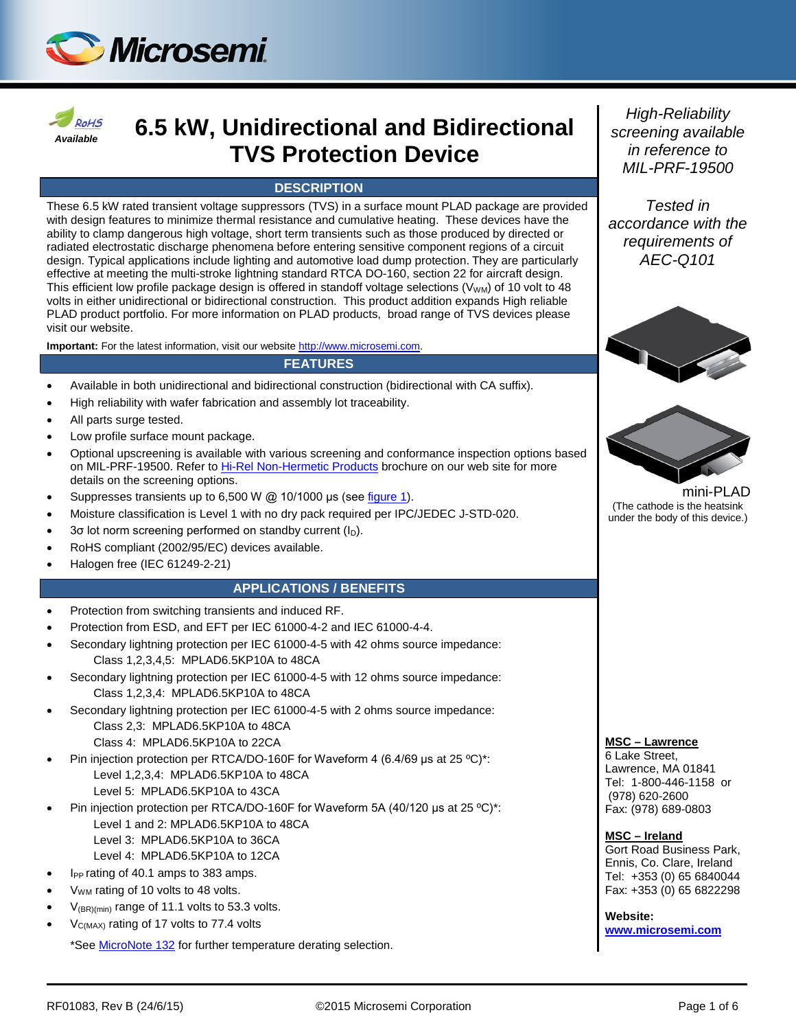



# *Available* **6.5 kW, Unidirectional and Bidirectional TVS Protection Device**

### **DESCRIPTION**

These 6.5 kW rated transient voltage suppressors (TVS) in a surface mount PLAD package are provided with design features to minimize thermal resistance and cumulative heating. These devices have the ability to clamp dangerous high voltage, short term transients such as those produced by directed or radiated electrostatic discharge phenomena before entering sensitive component regions of a circuit design. Typical applications include lighting and automotive load dump protection. They are particularly effective at meeting the multi-stroke lightning standard RTCA DO-160, section 22 for aircraft design. This efficient low profile package design is offered in standoff voltage selections  $(V_{WM})$  of 10 volt to 48 volts in either unidirectional or bidirectional construction. This product addition expands High reliable PLAD product portfolio. For more information on PLAD products, broad range of TVS devices please visit our website.

**Important:** For the latest information, visit our website [http://www.microsemi.com.](http://www.microsemi.com/)

#### **FEATURES**

- Available in both unidirectional and bidirectional construction (bidirectional with CA suffix).
- High reliability with wafer fabrication and assembly lot traceability.
- All parts surge tested.
- Low profile surface mount package.
- Optional upscreening is available with various screening and conformance inspection options based on MIL-PRF-19500. Refer to [Hi-Rel Non-Hermetic Products](http://www.microsemi.com/document-portal/doc_download/129590-high-reliability-non-hermetic-product-portfolio) brochure on our web site for more details on the screening options.
- Suppresses transients up to 6,500 W @ 10/1000 μs (see [figure 1\)](#page-3-0).
- Moisture classification is Level 1 with no dry pack required per IPC/JEDEC J-STD-020.
- 3σ lot norm screening performed on standby current (ID).
- RoHS compliant (2002/95/EC) devices available.
- Halogen free (IEC 61249-2-21)

### **APPLICATIONS / BENEFITS**

- Protection from switching transients and induced RF.
- Protection from ESD, and EFT per IEC 61000-4-2 and IEC 61000-4-4.
- Secondary lightning protection per IEC 61000-4-5 with 42 ohms source impedance: Class 1,2,3,4,5: MPLAD6.5KP10A to 48CA
- Secondary lightning protection per IEC 61000-4-5 with 12 ohms source impedance: Class 1,2,3,4: MPLAD6.5KP10A to 48CA
- Secondary lightning protection per IEC 61000-4-5 with 2 ohms source impedance: Class 2,3: MPLAD6.5KP10A to 48CA Class 4: MPLAD6.5KP10A to 22CA
- Pin injection protection per RTCA/DO-160F for Waveform 4 (6.4/69 μs at 25 ºC)\*: Level 1,2,3,4: MPLAD6.5KP10A to 48CA Level 5: MPLAD6.5KP10A to 43CA
- Pin injection protection per RTCA/DO-160F for Waveform 5A (40/120 μs at 25 ºC)\*: Level 1 and 2: MPLAD6.5KP10A to 48CA
	- Level 3: MPLAD6.5KP10A to 36CA
	- Level 4: MPLAD6.5KP10A to 12CA
- l<sub>PP</sub> rating of 40.1 amps to 383 amps.
- V<sub>WM</sub> rating of 10 volts to 48 volts.
- $V_{(BR)(min)}$  range of 11.1 volts to 53.3 volts.
- $V_{C(MAX)}$  rating of 17 volts to 77.4 volts

\*See [MicroNote 132](http://www.microsemi.com/en/sites/default/files/micnotes/132.pdf) for further temperature derating selection.

*High-Reliability screening available in reference to MIL-PRF-19500*

*Tested in accordance with the requirements of AEC-Q101*





mini-PLAD (The cathode is the heatsink under the body of this device.)

#### **MSC – Lawrence**

6 Lake Street, Lawrence, MA 01841 Tel: 1-800-446-1158 or (978) 620-2600 Fax: (978) 689-0803

#### **MSC – Ireland**

Gort Road Business Park, Ennis, Co. Clare, Ireland Tel: +353 (0) 65 6840044 Fax: +353 (0) 65 6822298

**Website: [www.microsemi.com](http://www.microsemi.com/)**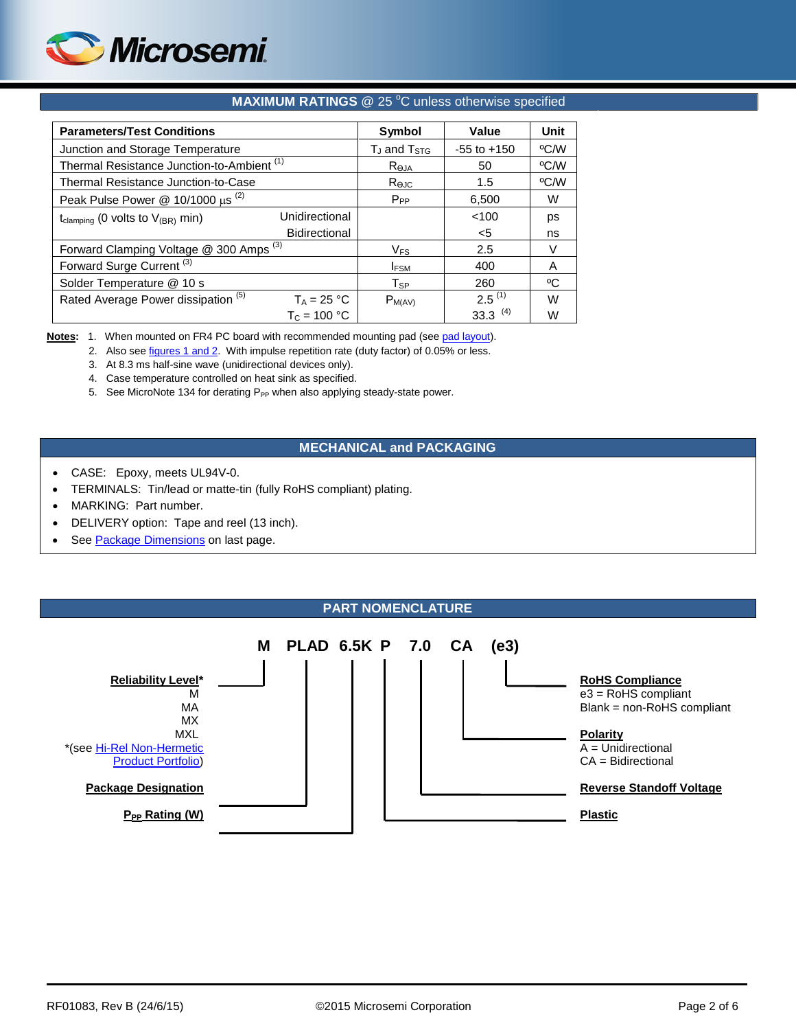

#### **MAXIMUM RATINGS** @ 25 °C unless otherwise specified

| <b>Parameters/Test Conditions</b>                     | Symbol              | Value           | <b>Unit</b> |    |
|-------------------------------------------------------|---------------------|-----------------|-------------|----|
| Junction and Storage Temperature                      | $T_J$ and $T_{STG}$ | $-55$ to $+150$ | °C/W        |    |
| Thermal Resistance Junction-to-Ambient <sup>(1)</sup> | $R_{\Theta,IA}$     | 50              | °C/W        |    |
| Thermal Resistance Junction-to-Case                   | Rejc                | 1.5             | °C/W        |    |
| Peak Pulse Power $@ 10/1000 \mu s$ <sup>(2)</sup>     | $P_{PP}$            | 6,500           | W           |    |
| t <sub>clamping</sub> (0 volts to $V_{(BR)}$ min)     | Unidirectional      |                 | < 100       | ps |
|                                                       | Bidirectional       |                 | $<$ 5       | ns |
| Forward Clamping Voltage @ 300 Amps <sup>(3)</sup>    | $V_{FS}$            | 2.5             | V           |    |
| Forward Surge Current <sup>(3)</sup>                  |                     | <b>IFSM</b>     | 400         | A  |
| Solder Temperature @ 10 s                             |                     | Tsp             | 260         | °C |
| Rated Average Power dissipation (5)                   | $T_A = 25 °C$       | $P_{M(AV)}$     | $2.5^{(1)}$ | W  |
|                                                       | $T_c = 100 °C$      |                 | 33.3 $(4)$  | W  |

Notes: 1. When mounted on FR4 PC board with recommended mounting pad (se[e pad layout\)](#page-5-0).

2. Also se[e figures 1 and 2.](#page-3-0) With impulse repetition rate (duty factor) of 0.05% or less.

3. At 8.3 ms half-sine wave (unidirectional devices only).

4. Case temperature controlled on heat sink as specified.

5. See MicroNote 134 for derating P<sub>PP</sub> when also applying steady-state power.

### **MECHANICAL and PACKAGING**

- CASE: Epoxy, meets UL94V-0.
- TERMINALS: Tin/lead or matte-tin (fully RoHS compliant) plating.
- MARKING: Part number.
- DELIVERY option: Tape and reel (13 inch).
- See [Package Dimensions](#page-5-1) on last page.

#### **PART NOMENCLATURE**

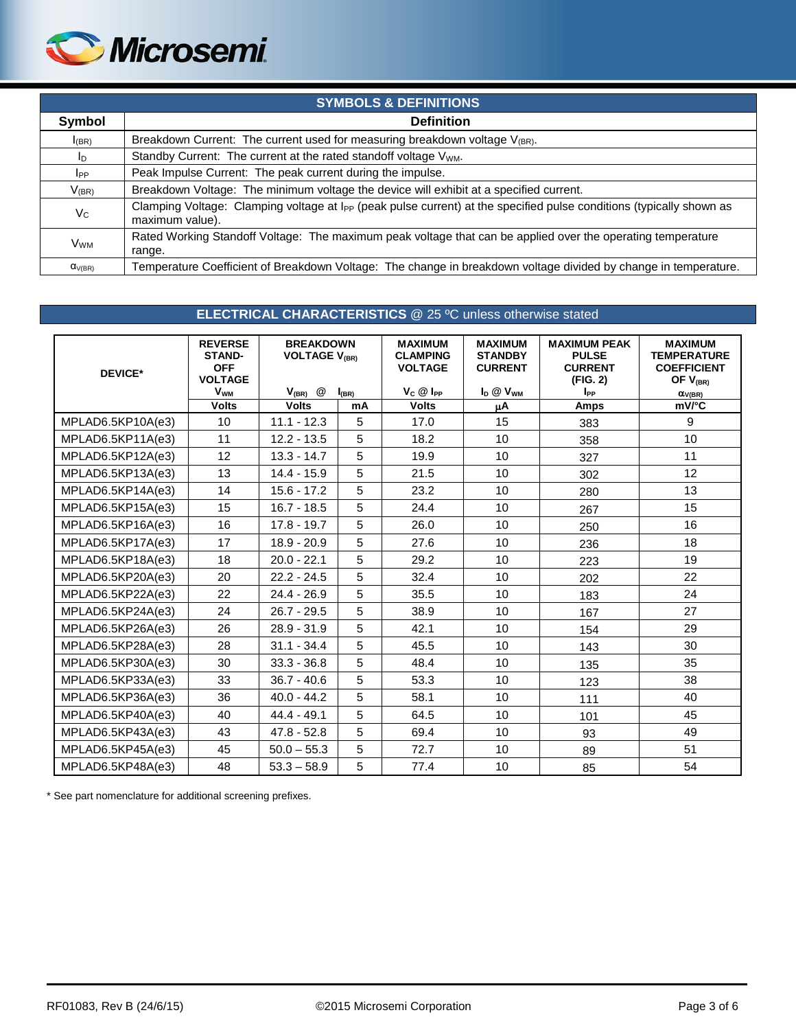

| <b>SYMBOLS &amp; DEFINITIONS</b> |                                                                                                                                                     |  |  |  |
|----------------------------------|-----------------------------------------------------------------------------------------------------------------------------------------------------|--|--|--|
| Symbol                           | <b>Definition</b>                                                                                                                                   |  |  |  |
| $I_{(BR)}$                       | Breakdown Current: The current used for measuring breakdown voltage $V_{(BR)}$ .                                                                    |  |  |  |
| $I_{\text{D}}$                   | Standby Current: The current at the rated standoff voltage V <sub>WM</sub> .                                                                        |  |  |  |
| <b>I</b> PP                      | Peak Impulse Current: The peak current during the impulse.                                                                                          |  |  |  |
| $V_{(BR)}$                       | Breakdown Voltage: The minimum voltage the device will exhibit at a specified current.                                                              |  |  |  |
| $V_C$                            | Clamping Voltage: Clamping voltage at I <sub>PP</sub> (peak pulse current) at the specified pulse conditions (typically shown as<br>maximum value). |  |  |  |
| <b>VwM</b>                       | Rated Working Standoff Voltage: The maximum peak voltage that can be applied over the operating temperature<br>range.                               |  |  |  |
| $\alpha_{V(BR)}$                 | Temperature Coefficient of Breakdown Voltage: The change in breakdown voltage divided by change in temperature.                                     |  |  |  |

### **ELECTRICAL CHARACTERISTICS** @ 25 ºC unless otherwise stated

| <b>DEVICE*</b>    | <b>REVERSE</b><br><b>STAND-</b><br><b>OFF</b><br><b>VOLTAGE</b> | <b>BREAKDOWN</b><br><b>VOLTAGE V<sub>(BR)</sub></b> |            | <b>MAXIMUM</b><br><b>CLAMPING</b><br><b>VOLTAGE</b> | <b>MAXIMUM</b><br><b>STANDBY</b><br><b>CURRENT</b> | <b>MAXIMUM PEAK</b><br><b>PULSE</b><br><b>CURRENT</b><br>(FIG. 2) | <b>MAXIMUM</b><br><b>TEMPERATURE</b><br><b>COEFFICIENT</b><br>OF $V_{(BR)}$ |
|-------------------|-----------------------------------------------------------------|-----------------------------------------------------|------------|-----------------------------------------------------|----------------------------------------------------|-------------------------------------------------------------------|-----------------------------------------------------------------------------|
|                   | <b>V<sub>WM</sub></b>                                           | @<br>$V_{(BR)}$                                     | $I_{(BR)}$ | $V_C \otimes I_{PP}$                                | $I_D @ V_{WM}$                                     | I <sub>PP</sub>                                                   | $\alpha_{V(BR)}$                                                            |
|                   | <b>Volts</b>                                                    | <b>Volts</b>                                        | mA         | <b>Volts</b>                                        | μA                                                 | <b>Amps</b>                                                       | $mV$ $c$                                                                    |
| MPLAD6.5KP10A(e3) | 10                                                              | $11.1 - 12.3$                                       | 5          | 17.0                                                | 15                                                 | 383                                                               | 9                                                                           |
| MPLAD6.5KP11A(e3) | 11                                                              | $12.2 - 13.5$                                       | 5          | 18.2                                                | 10                                                 | 358                                                               | 10 <sup>10</sup>                                                            |
| MPLAD6.5KP12A(e3) | 12                                                              | $13.3 - 14.7$                                       | 5          | 19.9                                                | 10                                                 | 327                                                               | 11                                                                          |
| MPLAD6.5KP13A(e3) | 13                                                              | $14.4 - 15.9$                                       | 5          | 21.5                                                | 10                                                 | 302                                                               | 12                                                                          |
| MPLAD6.5KP14A(e3) | 14                                                              | $15.6 - 17.2$                                       | 5          | 23.2                                                | 10                                                 | 280                                                               | 13                                                                          |
| MPLAD6.5KP15A(e3) | 15                                                              | $16.7 - 18.5$                                       | 5          | 24.4                                                | 10                                                 | 267                                                               | 15                                                                          |
| MPLAD6.5KP16A(e3) | 16                                                              | $17.8 - 19.7$                                       | 5          | 26.0                                                | 10                                                 | 250                                                               | 16                                                                          |
| MPLAD6.5KP17A(e3) | 17                                                              | $18.9 - 20.9$                                       | 5          | 27.6                                                | 10                                                 | 236                                                               | 18                                                                          |
| MPLAD6.5KP18A(e3) | 18                                                              | $20.0 - 22.1$                                       | 5          | 29.2                                                | 10                                                 | 223                                                               | 19                                                                          |
| MPLAD6.5KP20A(e3) | 20                                                              | $22.2 - 24.5$                                       | 5          | 32.4                                                | 10                                                 | 202                                                               | 22                                                                          |
| MPLAD6.5KP22A(e3) | 22                                                              | $24.4 - 26.9$                                       | 5          | 35.5                                                | 10                                                 | 183                                                               | 24                                                                          |
| MPLAD6.5KP24A(e3) | 24                                                              | $26.7 - 29.5$                                       | 5          | 38.9                                                | 10                                                 | 167                                                               | 27                                                                          |
| MPLAD6.5KP26A(e3) | 26                                                              | $28.9 - 31.9$                                       | 5          | 42.1                                                | 10                                                 | 154                                                               | 29                                                                          |
| MPLAD6.5KP28A(e3) | 28                                                              | $31.1 - 34.4$                                       | 5          | 45.5                                                | 10                                                 | 143                                                               | 30                                                                          |
| MPLAD6.5KP30A(e3) | 30                                                              | $33.3 - 36.8$                                       | 5          | 48.4                                                | 10                                                 | 135                                                               | 35                                                                          |
| MPLAD6.5KP33A(e3) | 33                                                              | $36.7 - 40.6$                                       | 5          | 53.3                                                | 10                                                 | 123                                                               | 38                                                                          |
| MPLAD6.5KP36A(e3) | 36                                                              | $40.0 - 44.2$                                       | 5          | 58.1                                                | 10                                                 | 111                                                               | 40                                                                          |
| MPLAD6.5KP40A(e3) | 40                                                              | $44.4 - 49.1$                                       | 5          | 64.5                                                | 10                                                 | 101                                                               | 45                                                                          |
| MPLAD6.5KP43A(e3) | 43                                                              | $47.8 - 52.8$                                       | 5          | 69.4                                                | 10                                                 | 93                                                                | 49                                                                          |
| MPLAD6.5KP45A(e3) | 45                                                              | $50.0 - 55.3$                                       | 5          | 72.7                                                | 10                                                 | 89                                                                | 51                                                                          |
| MPLAD6.5KP48A(e3) | 48                                                              | $53.3 - 58.9$                                       | 5          | 77.4                                                | 10                                                 | 85                                                                | 54                                                                          |

\* See part nomenclature for additional screening prefixes.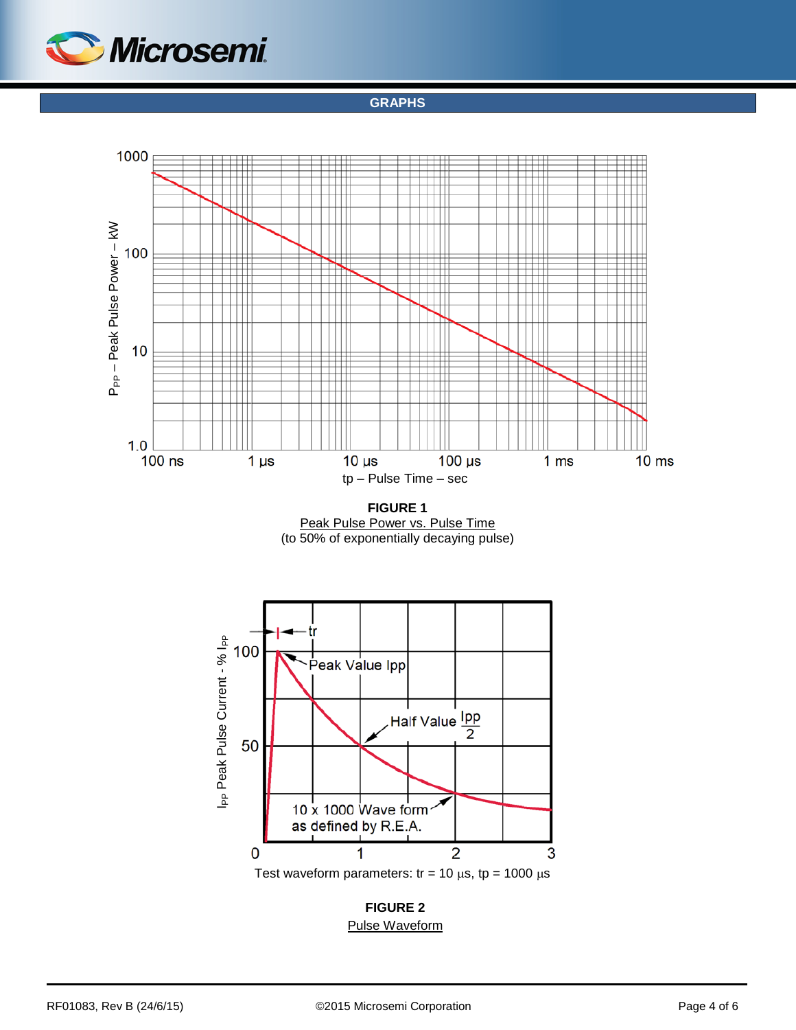<span id="page-3-0"></span>

**GRAPHS**



**FIGURE 1** Peak Pulse Power vs. Pulse Time (to 50% of exponentially decaying pulse)



**FIGURE 2** Pulse Waveform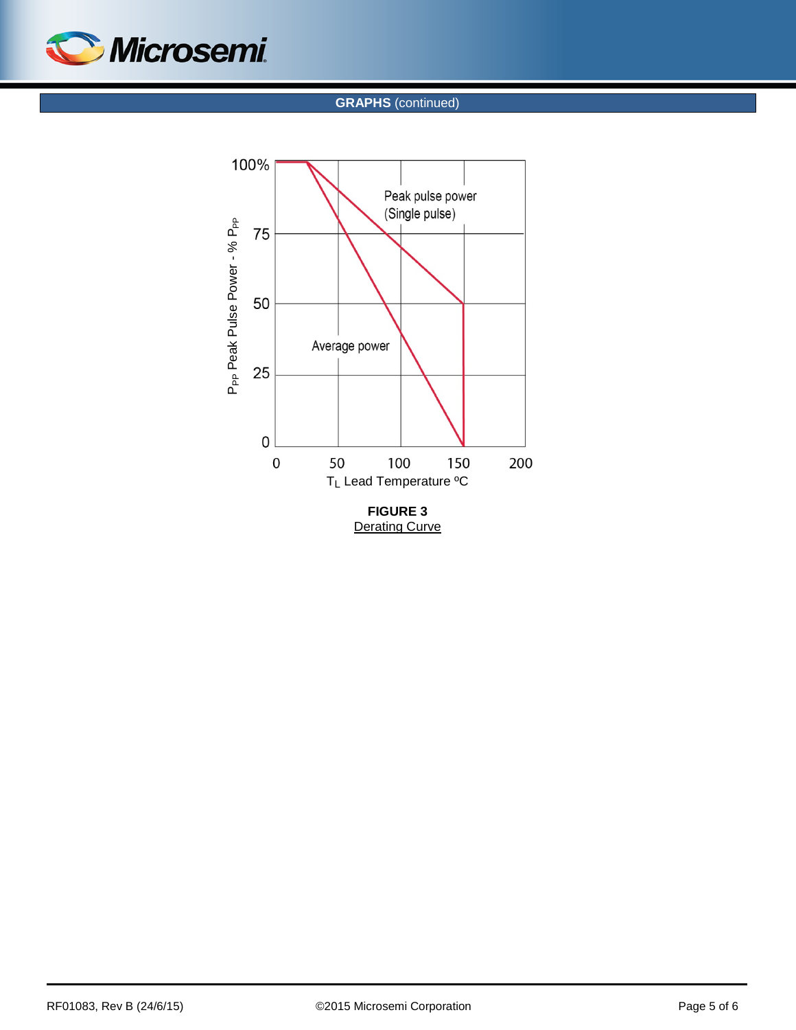

**GRAPHS** (continued)



**Derating Curve**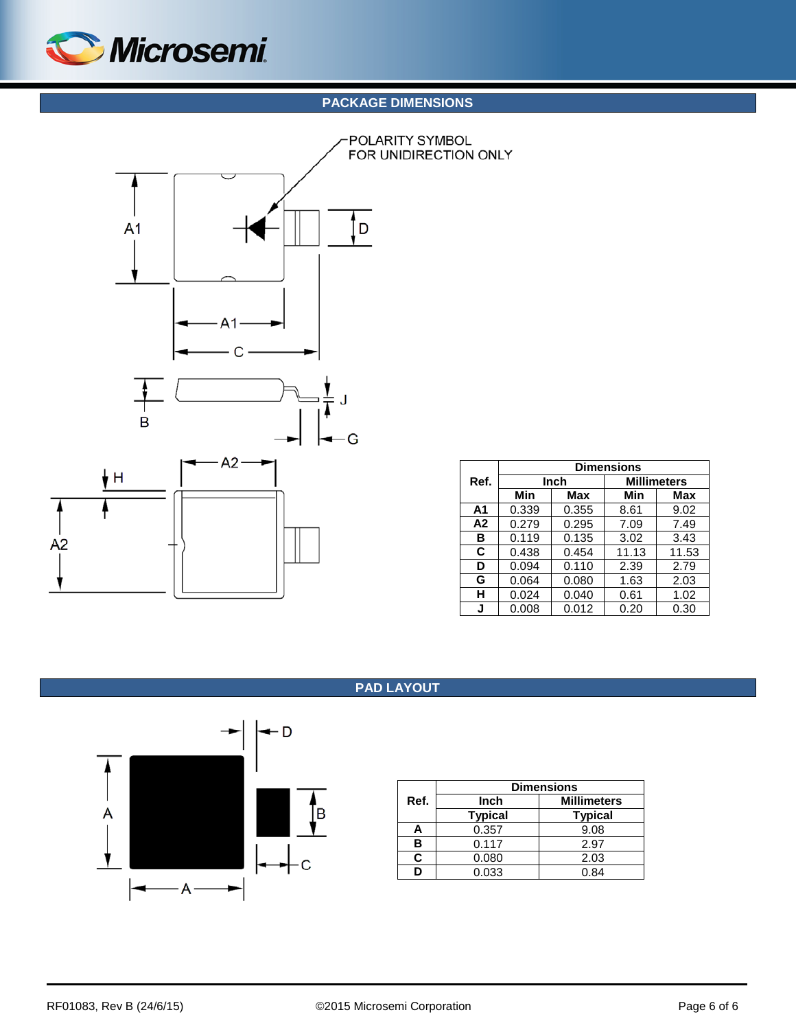

## **PACKAGE DIMENSIONS**

<span id="page-5-1"></span>

|                | <b>Dimensions</b> |       |                    |       |  |  |  |
|----------------|-------------------|-------|--------------------|-------|--|--|--|
| Ref.           | Inch              |       | <b>Millimeters</b> |       |  |  |  |
|                | Min               | Max   | Min                | Max   |  |  |  |
| A <sub>1</sub> | 0.339             | 0.355 | 8.61               | 9.02  |  |  |  |
| A <sub>2</sub> | 0.279             | 0.295 | 7.09               | 7.49  |  |  |  |
| в              | 0.119             | 0.135 | 3.02               | 3.43  |  |  |  |
| C              | 0.438             | 0.454 | 11.13              | 11.53 |  |  |  |
| D              | 0.094             | 0.110 | 2.39               | 2.79  |  |  |  |
| G              | 0.064             | 0.080 | 1.63               | 2.03  |  |  |  |
| н              | 0.024             | 0.040 | 0.61               | 1.02  |  |  |  |
| J              | 0.008             | 0.012 | 0.20               | 0.30  |  |  |  |

### **PAD LAYOUT**

<span id="page-5-0"></span>

|      | <b>Dimensions</b> |                    |  |  |
|------|-------------------|--------------------|--|--|
| Ref. | Inch              | <b>Millimeters</b> |  |  |
|      | <b>Typical</b>    | <b>Typical</b>     |  |  |
| Α    | 0.357             | 9.08               |  |  |
| в    | 0.117             | 2.97               |  |  |
| r.   | 0.080             | 2.03               |  |  |
|      | 0.033             | 0.84               |  |  |